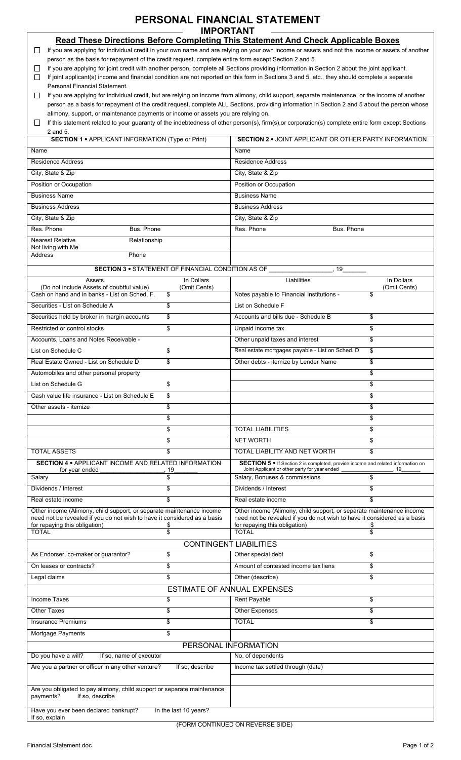## PERSONAL FINANCIAL STATEMENT **IMPORTANT**

|                                                                                                                                                                                     |                                    | <b>Read These Directions Before Completing This Statement And Check Applicable Boxes</b>                                                           |                    |  |  |  |  |
|-------------------------------------------------------------------------------------------------------------------------------------------------------------------------------------|------------------------------------|----------------------------------------------------------------------------------------------------------------------------------------------------|--------------------|--|--|--|--|
|                                                                                                                                                                                     |                                    | If you are applying for individual credit in your own name and are relying on your own income or assets and not the income or assets of another    |                    |  |  |  |  |
| person as the basis for repayment of the credit request, complete entire form except Section 2 and 5.                                                                               |                                    |                                                                                                                                                    |                    |  |  |  |  |
| If you are applying for joint credit with another person, complete all Sections providing information in Section 2 about the joint applicant.<br>ப                                  |                                    |                                                                                                                                                    |                    |  |  |  |  |
| If joint applicant(s) income and financial condition are not reported on this form in Sections 3 and 5, etc., they should complete a separate<br>П<br>Personal Financial Statement. |                                    |                                                                                                                                                    |                    |  |  |  |  |
| If you are applying for individual credit, but are relying on income from alimony, child support, separate maintenance, or the income of another<br>ப                               |                                    |                                                                                                                                                    |                    |  |  |  |  |
| person as a basis for repayment of the credit request, complete ALL Sections, providing information in Section 2 and 5 about the person whose                                       |                                    |                                                                                                                                                    |                    |  |  |  |  |
| alimony, support, or maintenance payments or income or assets you are relying on.                                                                                                   |                                    |                                                                                                                                                    |                    |  |  |  |  |
|                                                                                                                                                                                     |                                    | If this statement related to your guaranty of the indebtedness of other person(s), firm(s), or corporation(s) complete entire form except Sections |                    |  |  |  |  |
| 2 and 5.                                                                                                                                                                            |                                    |                                                                                                                                                    |                    |  |  |  |  |
| <b>SECTION 1 • APPLICANT INFORMATION (Type or Print)</b>                                                                                                                            |                                    | <b>SECTION 2 . JOINT APPLICANT OR OTHER PARTY INFORMATION</b>                                                                                      |                    |  |  |  |  |
| Name                                                                                                                                                                                |                                    | Name                                                                                                                                               |                    |  |  |  |  |
| <b>Residence Address</b>                                                                                                                                                            |                                    | <b>Residence Address</b>                                                                                                                           |                    |  |  |  |  |
| City, State & Zip                                                                                                                                                                   |                                    | City, State & Zip                                                                                                                                  |                    |  |  |  |  |
| Position or Occupation                                                                                                                                                              |                                    | Position or Occupation                                                                                                                             |                    |  |  |  |  |
| <b>Business Name</b>                                                                                                                                                                |                                    | <b>Business Name</b>                                                                                                                               |                    |  |  |  |  |
| <b>Business Address</b>                                                                                                                                                             |                                    | <b>Business Address</b>                                                                                                                            |                    |  |  |  |  |
| City, State & Zip                                                                                                                                                                   |                                    | City, State & Zip                                                                                                                                  |                    |  |  |  |  |
| Res. Phone<br>Bus. Phone                                                                                                                                                            |                                    | Res. Phone<br>Bus. Phone                                                                                                                           |                    |  |  |  |  |
| Nearest Relative<br>Relationship                                                                                                                                                    |                                    |                                                                                                                                                    |                    |  |  |  |  |
| Not living with Me                                                                                                                                                                  |                                    |                                                                                                                                                    |                    |  |  |  |  |
| Address<br>Phone                                                                                                                                                                    |                                    |                                                                                                                                                    |                    |  |  |  |  |
| SECTION 3 . STATEMENT OF FINANCIAL CONDITION AS OF                                                                                                                                  |                                    | 19                                                                                                                                                 |                    |  |  |  |  |
| Assets                                                                                                                                                                              | In Dollars                         | Liabilities                                                                                                                                        | In Dollars         |  |  |  |  |
| (Do not include Assets of doubtful value)<br>Cash on hand and in banks - List on Sched. F.                                                                                          | (Omit Cents)<br>\$                 | Notes payable to Financial Institutions -                                                                                                          | (Omit Cents)<br>\$ |  |  |  |  |
| Securities - List on Schedule A                                                                                                                                                     | \$                                 | List on Schedule F                                                                                                                                 |                    |  |  |  |  |
|                                                                                                                                                                                     |                                    |                                                                                                                                                    |                    |  |  |  |  |
| Securities held by broker in margin accounts                                                                                                                                        | \$                                 | Accounts and bills due - Schedule B                                                                                                                | \$                 |  |  |  |  |
| Restricted or control stocks                                                                                                                                                        | \$                                 | Unpaid income tax                                                                                                                                  | \$                 |  |  |  |  |
| Accounts, Loans and Notes Receivable -                                                                                                                                              |                                    | Other unpaid taxes and interest                                                                                                                    | \$                 |  |  |  |  |
| List on Schedule C                                                                                                                                                                  | \$                                 | Real estate mortgages payable - List on Sched. D                                                                                                   | \$                 |  |  |  |  |
| Real Estate Owned - List on Schedule D                                                                                                                                              | \$                                 | Other debts - itemize by Lender Name                                                                                                               | \$                 |  |  |  |  |
| Automobiles and other personal property                                                                                                                                             |                                    |                                                                                                                                                    | \$                 |  |  |  |  |
| List on Schedule G                                                                                                                                                                  | \$                                 |                                                                                                                                                    | \$                 |  |  |  |  |
| Cash value life insurance - List on Schedule E                                                                                                                                      | \$                                 |                                                                                                                                                    | \$                 |  |  |  |  |
| Other assets - itemize                                                                                                                                                              | \$                                 |                                                                                                                                                    | \$                 |  |  |  |  |
|                                                                                                                                                                                     | \$                                 |                                                                                                                                                    | \$                 |  |  |  |  |
|                                                                                                                                                                                     | \$                                 | <b>TOTAL LIABILITIES</b>                                                                                                                           | \$                 |  |  |  |  |
|                                                                                                                                                                                     | \$                                 | <b>NET WORTH</b>                                                                                                                                   | \$                 |  |  |  |  |
| <b>TOTAL ASSETS</b>                                                                                                                                                                 | \$                                 | TOTAL LIABILITY AND NET WORTH                                                                                                                      | \$                 |  |  |  |  |
| <b>SECTION 4 . APPLICANT INCOME AND RELATED INFORMATION</b>                                                                                                                         |                                    | SECTION 5 . If Section 2 is completed, provide income and related information on                                                                   |                    |  |  |  |  |
| for year ended                                                                                                                                                                      | 19                                 | Joint Applicant or other party for year ended                                                                                                      | 19                 |  |  |  |  |
| Salary                                                                                                                                                                              | \$                                 | Salary, Bonuses & commissions                                                                                                                      | \$                 |  |  |  |  |
| Dividends / Interest                                                                                                                                                                | \$                                 | Dividends / Interest                                                                                                                               | \$                 |  |  |  |  |
| Real estate income                                                                                                                                                                  | \$                                 | Real estate income                                                                                                                                 | \$                 |  |  |  |  |
| Other income (Alimony, child support, or separate maintenance income<br>need not be revealed if you do not wish to have it considered as a basis                                    |                                    | Other income (Alimony, child support, or separate maintenance income<br>need not be revealed if you do not wish to have it considered as a basis   |                    |  |  |  |  |
| for repaying this obligation)                                                                                                                                                       |                                    |                                                                                                                                                    |                    |  |  |  |  |
|                                                                                                                                                                                     | S                                  | for repaying this obligation)                                                                                                                      |                    |  |  |  |  |
| <b>TOTAL</b>                                                                                                                                                                        | \$                                 | <b>TOTAL</b>                                                                                                                                       | \$                 |  |  |  |  |
|                                                                                                                                                                                     | <b>CONTINGENT LIABILITIES</b>      |                                                                                                                                                    |                    |  |  |  |  |
| As Endorser, co-maker or guarantor?                                                                                                                                                 | \$                                 | Other special debt                                                                                                                                 | \$                 |  |  |  |  |
| On leases or contracts?                                                                                                                                                             | \$                                 | Amount of contested income tax liens                                                                                                               | \$                 |  |  |  |  |
| Legal claims                                                                                                                                                                        | \$                                 | Other (describe)                                                                                                                                   | \$                 |  |  |  |  |
|                                                                                                                                                                                     | <b>ESTIMATE OF ANNUAL EXPENSES</b> |                                                                                                                                                    |                    |  |  |  |  |
| <b>Income Taxes</b>                                                                                                                                                                 | \$                                 | <b>Rent Payable</b>                                                                                                                                | \$                 |  |  |  |  |
| <b>Other Taxes</b>                                                                                                                                                                  | \$                                 | <b>Other Expenses</b>                                                                                                                              | \$                 |  |  |  |  |
| <b>Insurance Premiums</b>                                                                                                                                                           | \$                                 | <b>TOTAL</b>                                                                                                                                       | \$                 |  |  |  |  |
|                                                                                                                                                                                     | \$                                 |                                                                                                                                                    |                    |  |  |  |  |
| Mortgage Payments                                                                                                                                                                   |                                    |                                                                                                                                                    |                    |  |  |  |  |
|                                                                                                                                                                                     | PERSONAL INFORMATION               |                                                                                                                                                    |                    |  |  |  |  |
| Do you have a will?<br>If so, name of executor                                                                                                                                      |                                    | No. of dependents                                                                                                                                  |                    |  |  |  |  |
| Are you a partner or officer in any other venture?                                                                                                                                  | If so, describe                    | Income tax settled through (date)                                                                                                                  |                    |  |  |  |  |
|                                                                                                                                                                                     |                                    |                                                                                                                                                    |                    |  |  |  |  |
| Are you obligated to pay alimony, child support or separate maintenance<br>payments?<br>If so, describe                                                                             |                                    |                                                                                                                                                    |                    |  |  |  |  |
| Have you ever been declared bankrupt?<br>If so, explain                                                                                                                             | In the last 10 years?              | $(50011001)$ $\pm 0.11$ $\pm 0.011$ $\pm 0.01$ $\pm 0.05$ $\pm 0.05$                                                                               |                    |  |  |  |  |

(FORM CONTINUED ON REVERSE SIDE)

 $\overline{1}$